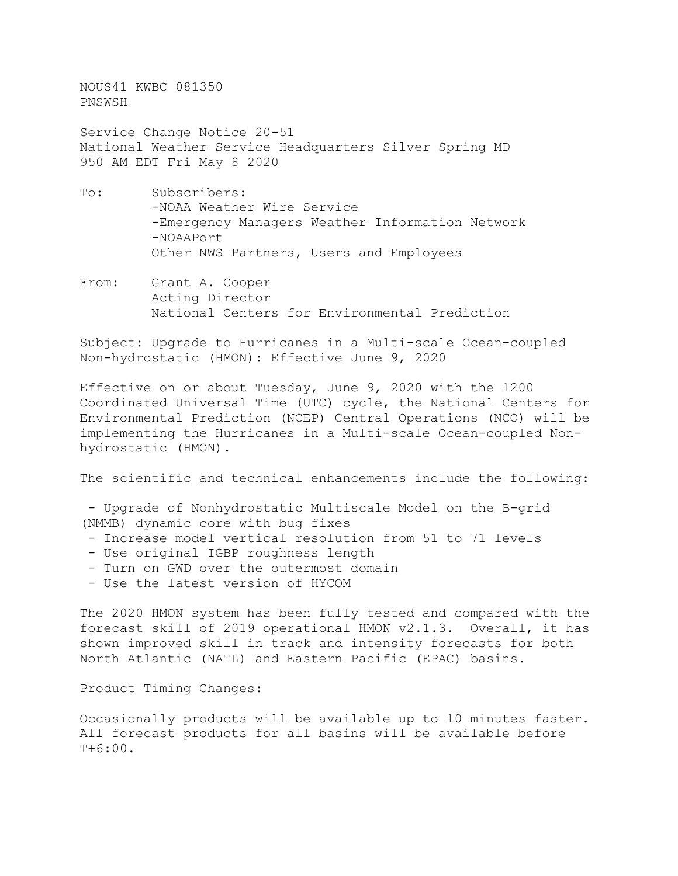NOUS41 KWBC 081350 PNSWSH

Service Change Notice 20-51 National Weather Service Headquarters Silver Spring MD 950 AM EDT Fri May 8 2020

- To: Subscribers: -NOAA Weather Wire Service -Emergency Managers Weather Information Network -NOAAPort Other NWS Partners, Users and Employees
- From: Grant A. Cooper Acting Director National Centers for Environmental Prediction

Subject: Upgrade to Hurricanes in a Multi-scale Ocean-coupled Non-hydrostatic (HMON): Effective June 9, 2020

Effective on or about Tuesday, June 9, 2020 with the 1200 Coordinated Universal Time (UTC) cycle, the National Centers for Environmental Prediction (NCEP) Central Operations (NCO) will be implementing the Hurricanes in a Multi-scale Ocean-coupled Nonhydrostatic (HMON).

The scientific and technical enhancements include the following:

- Upgrade of Nonhydrostatic Multiscale Model on the B-grid (NMMB) dynamic core with bug fixes

- Increase model vertical resolution from 51 to 71 levels
- Use original IGBP roughness length
- Turn on GWD over the outermost domain
- Use the latest version of HYCOM

The 2020 HMON system has been fully tested and compared with the forecast skill of 2019 operational HMON v2.1.3. Overall, it has shown improved skill in track and intensity forecasts for both North Atlantic (NATL) and Eastern Pacific (EPAC) basins.

Product Timing Changes:

Occasionally products will be available up to 10 minutes faster. All forecast products for all basins will be available before T+6:00.